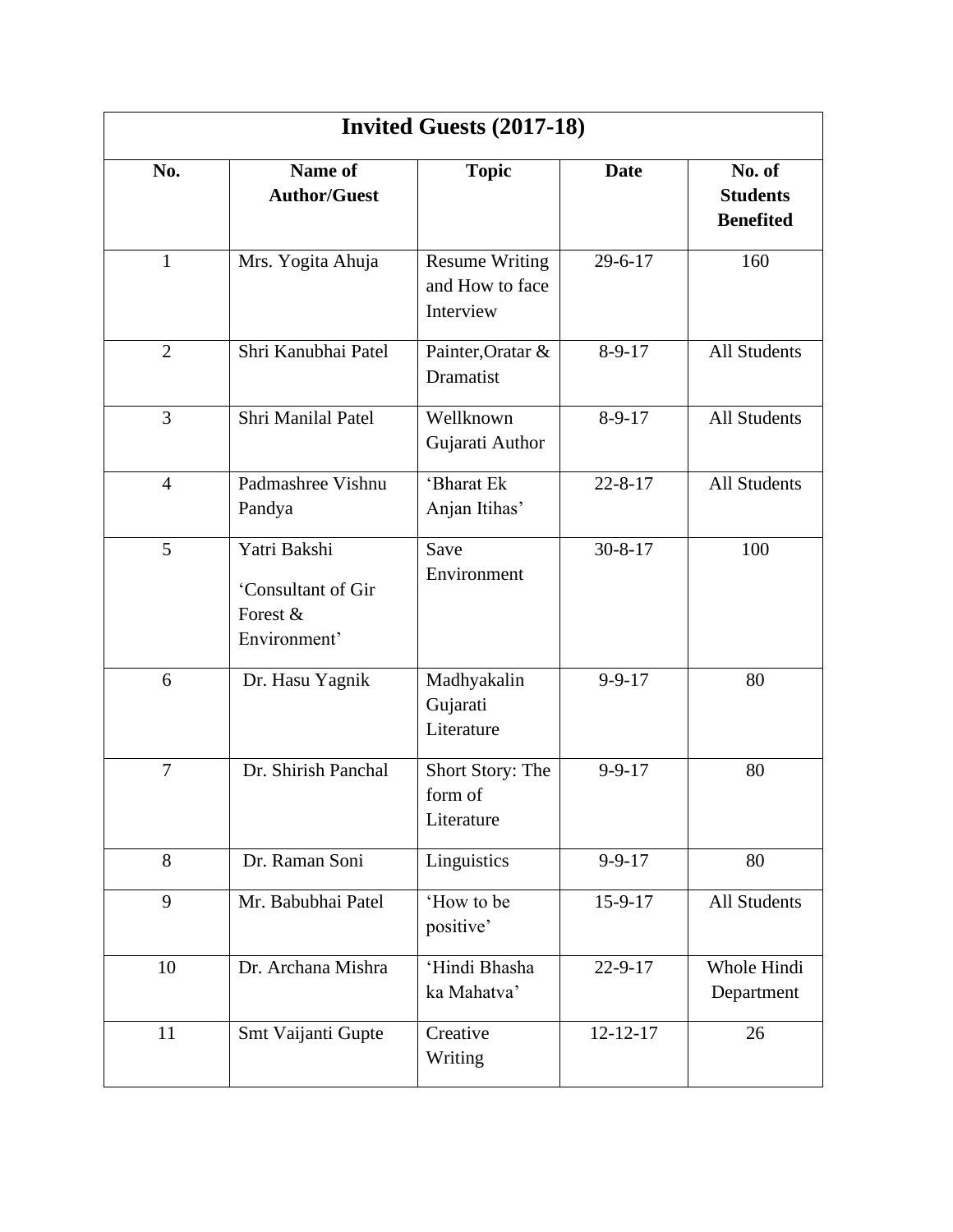|                | <b>Invited Guests (2017-18)</b>                                |                                                       |                |                                               |  |
|----------------|----------------------------------------------------------------|-------------------------------------------------------|----------------|-----------------------------------------------|--|
| No.            | Name of<br><b>Author/Guest</b>                                 | <b>Topic</b>                                          | <b>Date</b>    | No. of<br><b>Students</b><br><b>Benefited</b> |  |
| $\mathbf{1}$   | Mrs. Yogita Ahuja                                              | <b>Resume Writing</b><br>and How to face<br>Interview | $29 - 6 - 17$  | 160                                           |  |
| $\overline{2}$ | Shri Kanubhai Patel                                            | Painter, Oratar &<br>Dramatist                        | $8-9-17$       | <b>All Students</b>                           |  |
| 3              | Shri Manilal Patel                                             | Wellknown<br>Gujarati Author                          | $8-9-17$       | <b>All Students</b>                           |  |
| $\overline{4}$ | Padmashree Vishnu<br>Pandya                                    | 'Bharat Ek<br>Anjan Itihas'                           | $22 - 8 - 17$  | <b>All Students</b>                           |  |
| 5              | Yatri Bakshi<br>'Consultant of Gir<br>Forest &<br>Environment' | Save<br>Environment                                   | $30 - 8 - 17$  | 100                                           |  |
| 6              | Dr. Hasu Yagnik                                                | Madhyakalin<br>Gujarati<br>Literature                 | $9 - 9 - 17$   | 80                                            |  |
| $\overline{7}$ | Dr. Shirish Panchal                                            | Short Story: The<br>form of<br>Literature             | $9 - 9 - 17$   | 80                                            |  |
| 8              | Dr. Raman Soni                                                 | Linguistics                                           | $9 - 9 - 17$   | 80                                            |  |
| 9              | Mr. Babubhai Patel                                             | 'How to be<br>positive'                               | 15-9-17        | <b>All Students</b>                           |  |
| 10             | Dr. Archana Mishra                                             | 'Hindi Bhasha<br>ka Mahatva'                          | $22 - 9 - 17$  | Whole Hindi<br>Department                     |  |
| 11             | Smt Vaijanti Gupte                                             | Creative<br>Writing                                   | $12 - 12 - 17$ | 26                                            |  |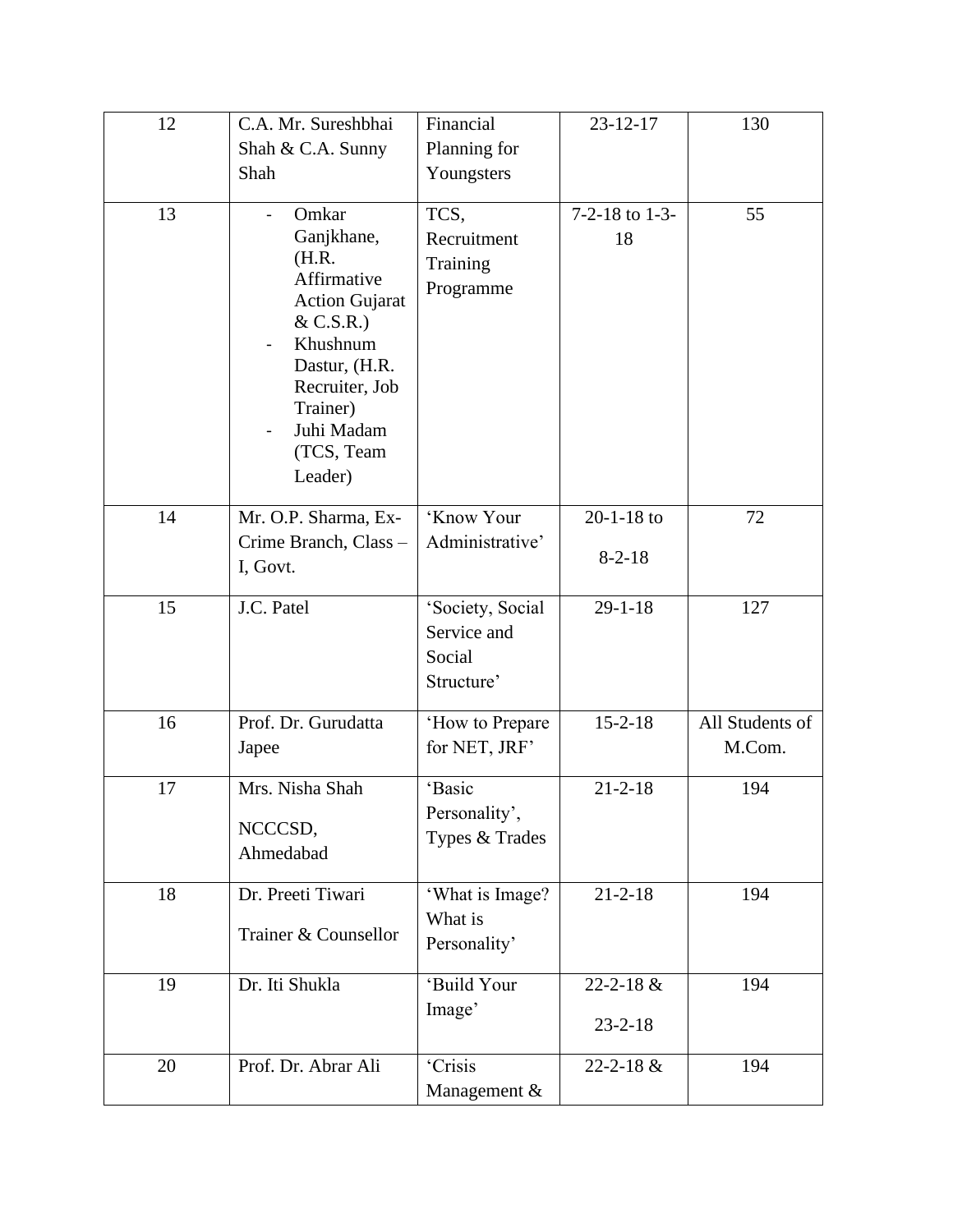| 12 | C.A. Mr. Sureshbhai             | Financial                       | $23 - 12 - 17$ | 130             |
|----|---------------------------------|---------------------------------|----------------|-----------------|
|    | Shah & C.A. Sunny               | Planning for                    |                |                 |
|    | Shah                            | Youngsters                      |                |                 |
|    |                                 |                                 |                |                 |
| 13 | Omkar<br>Ganjkhane,             | TCS,                            | 7-2-18 to 1-3- | 55              |
|    | (H.R.                           | Recruitment                     | 18             |                 |
|    | Affirmative                     | Training                        |                |                 |
|    | <b>Action Gujarat</b>           | Programme                       |                |                 |
|    | & C.S.R.                        |                                 |                |                 |
|    | Khushnum                        |                                 |                |                 |
|    | Dastur, (H.R.<br>Recruiter, Job |                                 |                |                 |
|    | Trainer)                        |                                 |                |                 |
|    | Juhi Madam                      |                                 |                |                 |
|    | (TCS, Team                      |                                 |                |                 |
|    | Leader)                         |                                 |                |                 |
| 14 | Mr. O.P. Sharma, Ex-            | 'Know Your                      | $20-1-18$ to   | 72              |
|    | Crime Branch, Class -           | Administrative'                 |                |                 |
|    | I, Govt.                        |                                 | $8 - 2 - 18$   |                 |
|    |                                 |                                 |                |                 |
| 15 | J.C. Patel                      | 'Society, Social<br>Service and | $29 - 1 - 18$  | 127             |
|    |                                 | Social                          |                |                 |
|    |                                 | Structure'                      |                |                 |
|    |                                 |                                 |                |                 |
| 16 | Prof. Dr. Gurudatta             | 'How to Prepare                 | $15 - 2 - 18$  | All Students of |
|    | Japee                           | for NET, JRF'                   |                | M.Com.          |
| 17 | Mrs. Nisha Shah                 | 'Basic                          | $21 - 2 - 18$  | 194             |
|    |                                 | Personality',                   |                |                 |
|    | NCCCSD,                         | Types & Trades                  |                |                 |
|    | Ahmedabad                       |                                 |                |                 |
| 18 | Dr. Preeti Tiwari               | 'What is Image?                 | $21 - 2 - 18$  | 194             |
|    |                                 | What is                         |                |                 |
|    | Trainer & Counsellor            | Personality'                    |                |                 |
| 19 | Dr. Iti Shukla                  | 'Build Your                     | 22-2-18 $&$    | 194             |
|    |                                 | Image'                          |                |                 |
|    |                                 |                                 | $23 - 2 - 18$  |                 |
| 20 | Prof. Dr. Abrar Ali             | 'Crisis                         | 22-2-18 $\&$   | 194             |
|    |                                 | Management &                    |                |                 |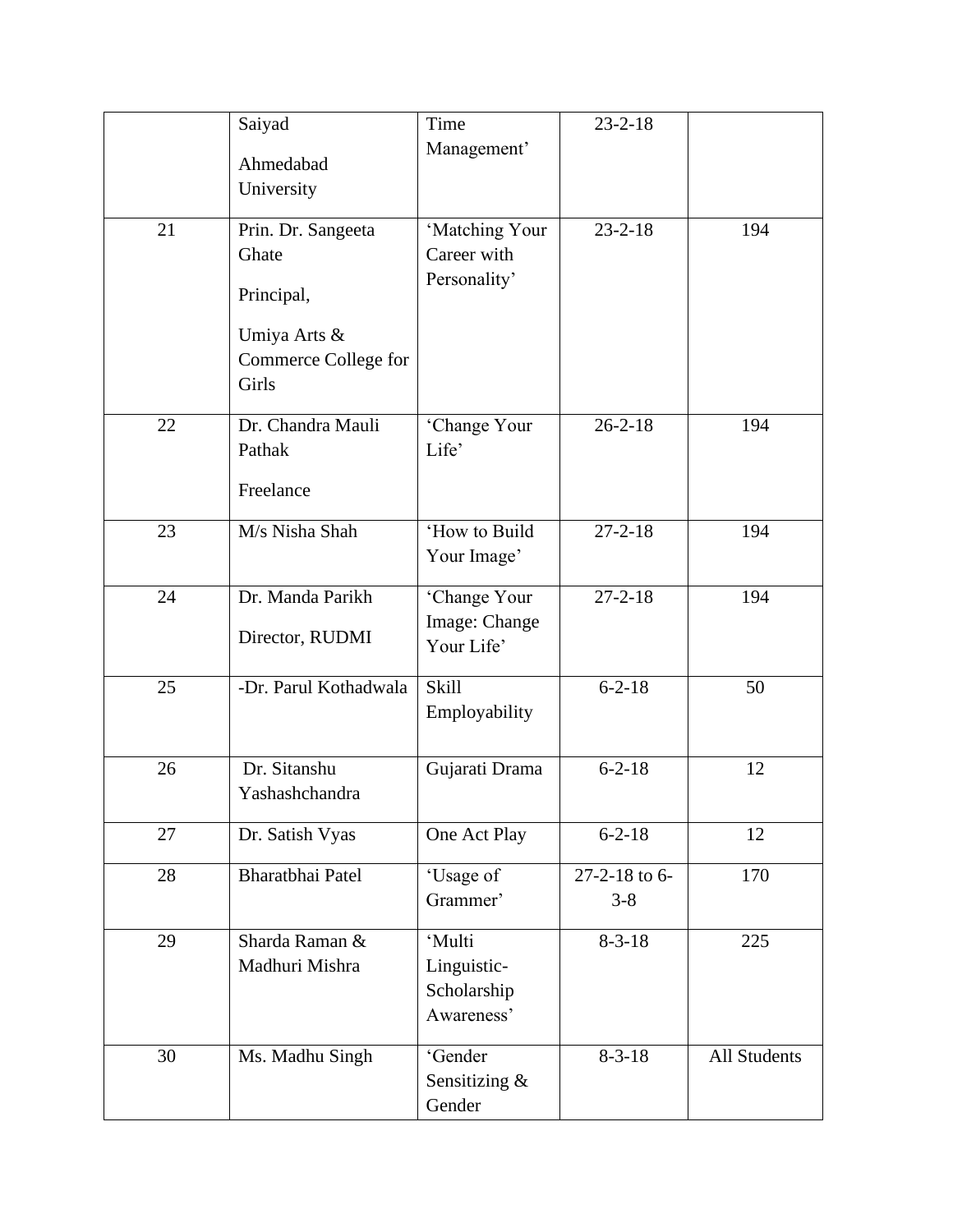|    | Saiyad<br>Ahmedabad<br>University                                                          | Time<br>Management'                                | $23 - 2 - 18$            |                     |
|----|--------------------------------------------------------------------------------------------|----------------------------------------------------|--------------------------|---------------------|
| 21 | Prin. Dr. Sangeeta<br>Ghate<br>Principal,<br>Umiya Arts &<br>Commerce College for<br>Girls | 'Matching Your<br>Career with<br>Personality'      | $23 - 2 - 18$            | 194                 |
| 22 | Dr. Chandra Mauli<br>Pathak<br>Freelance                                                   | 'Change Your<br>Life'                              | $26 - 2 - 18$            | 194                 |
| 23 | M/s Nisha Shah                                                                             | 'How to Build<br>Your Image'                       | $27 - 2 - 18$            | 194                 |
| 24 | Dr. Manda Parikh<br>Director, RUDMI                                                        | 'Change Your<br>Image: Change<br>Your Life'        | $27 - 2 - 18$            | 194                 |
| 25 | -Dr. Parul Kothadwala                                                                      | <b>Skill</b><br>Employability                      | $6 - 2 - 18$             | 50                  |
| 26 | Dr. Sitanshu<br>Yashashchandra                                                             | Gujarati Drama                                     | $6 - 2 - 18$             | 12                  |
| 27 | Dr. Satish Vyas                                                                            | One Act Play                                       | $6 - 2 - 18$             | 12                  |
| 28 | Bharatbhai Patel                                                                           | 'Usage of<br>Grammer'                              | 27-2-18 to 6-<br>$3 - 8$ | 170                 |
| 29 | Sharda Raman &<br>Madhuri Mishra                                                           | 'Multi<br>Linguistic-<br>Scholarship<br>Awareness' | $8 - 3 - 18$             | 225                 |
| 30 | Ms. Madhu Singh                                                                            | 'Gender<br>Sensitizing &<br>Gender                 | $8 - 3 - 18$             | <b>All Students</b> |